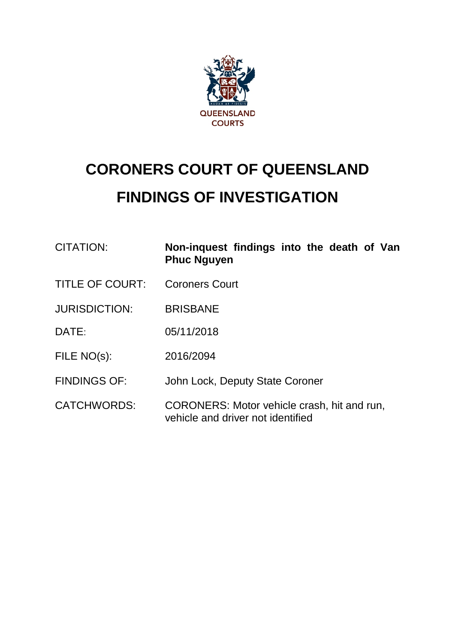

# **CORONERS COURT OF QUEENSLAND FINDINGS OF INVESTIGATION**

| <b>CITATION:</b>       | Non-inquest findings into the death of Van<br><b>Phuc Nguyen</b>                 |
|------------------------|----------------------------------------------------------------------------------|
| <b>TITLE OF COURT:</b> | <b>Coroners Court</b>                                                            |
| <b>JURISDICTION:</b>   | <b>BRISBANE</b>                                                                  |
| DATE:                  | 05/11/2018                                                                       |
| FILE NO(s):            | 2016/2094                                                                        |
| <b>FINDINGS OF:</b>    | John Lock, Deputy State Coroner                                                  |
| <b>CATCHWORDS:</b>     | CORONERS: Motor vehicle crash, hit and run,<br>vehicle and driver not identified |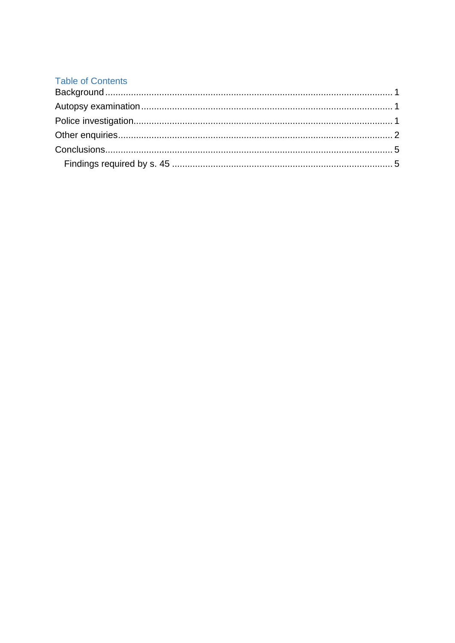# **Table of Contents**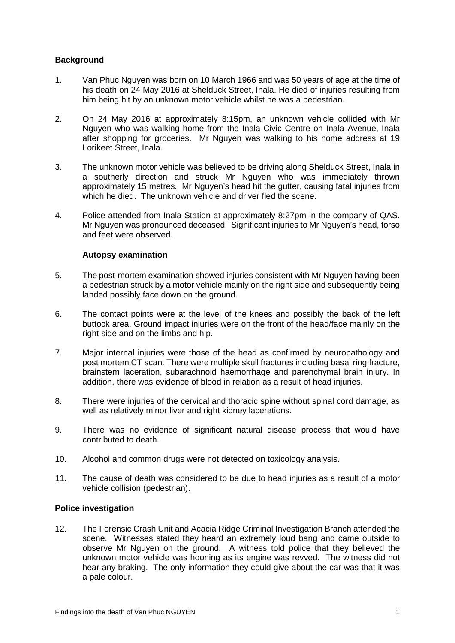## <span id="page-2-0"></span>**Background**

- 1. Van Phuc Nguyen was born on 10 March 1966 and was 50 years of age at the time of his death on 24 May 2016 at Shelduck Street, Inala. He died of injuries resulting from him being hit by an unknown motor vehicle whilst he was a pedestrian.
- 2. On 24 May 2016 at approximately 8:15pm, an unknown vehicle collided with Mr Nguyen who was walking home from the Inala Civic Centre on Inala Avenue, Inala after shopping for groceries. Mr Nguyen was walking to his home address at 19 Lorikeet Street, Inala.
- 3. The unknown motor vehicle was believed to be driving along Shelduck Street, Inala in a southerly direction and struck Mr Nguyen who was immediately thrown approximately 15 metres. Mr Nguyen's head hit the gutter, causing fatal injuries from which he died. The unknown vehicle and driver fled the scene.
- <span id="page-2-1"></span>4. Police attended from Inala Station at approximately 8:27pm in the company of QAS. Mr Nguyen was pronounced deceased. Significant injuries to Mr Nguyen's head, torso and feet were observed.

### **Autopsy examination**

- 5. The post-mortem examination showed injuries consistent with Mr Nguyen having been a pedestrian struck by a motor vehicle mainly on the right side and subsequently being landed possibly face down on the ground.
- 6. The contact points were at the level of the knees and possibly the back of the left buttock area. Ground impact injuries were on the front of the head/face mainly on the right side and on the limbs and hip.
- 7. Major internal injuries were those of the head as confirmed by neuropathology and post mortem CT scan. There were multiple skull fractures including basal ring fracture, brainstem laceration, subarachnoid haemorrhage and parenchymal brain injury. In addition, there was evidence of blood in relation as a result of head injuries.
- 8. There were injuries of the cervical and thoracic spine without spinal cord damage, as well as relatively minor liver and right kidney lacerations.
- 9. There was no evidence of significant natural disease process that would have contributed to death.
- 10. Alcohol and common drugs were not detected on toxicology analysis.
- 11. The cause of death was considered to be due to head injuries as a result of a motor vehicle collision (pedestrian).

### <span id="page-2-2"></span>**Police investigation**

12. The Forensic Crash Unit and Acacia Ridge Criminal Investigation Branch attended the scene. Witnesses stated they heard an extremely loud bang and came outside to observe Mr Nguyen on the ground. A witness told police that they believed the unknown motor vehicle was hooning as its engine was revved. The witness did not hear any braking. The only information they could give about the car was that it was a pale colour.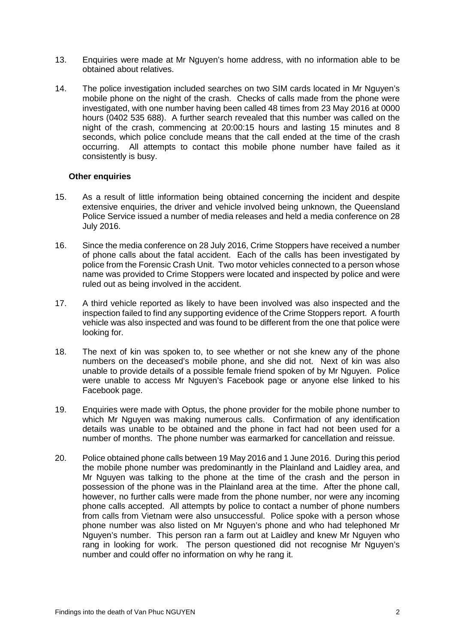- 13. Enquiries were made at Mr Nguyen's home address, with no information able to be obtained about relatives.
- 14. The police investigation included searches on two SIM cards located in Mr Nguyen's mobile phone on the night of the crash. Checks of calls made from the phone were investigated, with one number having been called 48 times from 23 May 2016 at 0000 hours (0402 535 688). A further search revealed that this number was called on the night of the crash, commencing at 20:00:15 hours and lasting 15 minutes and 8 seconds, which police conclude means that the call ended at the time of the crash occurring. All attempts to contact this mobile phone number have failed as it consistently is busy.

#### <span id="page-3-0"></span>**Other enquiries**

- 15. As a result of little information being obtained concerning the incident and despite extensive enquiries, the driver and vehicle involved being unknown, the Queensland Police Service issued a number of media releases and held a media conference on 28 July 2016.
- 16. Since the media conference on 28 July 2016, Crime Stoppers have received a number of phone calls about the fatal accident. Each of the calls has been investigated by police from the Forensic Crash Unit. Two motor vehicles connected to a person whose name was provided to Crime Stoppers were located and inspected by police and were ruled out as being involved in the accident.
- 17. A third vehicle reported as likely to have been involved was also inspected and the inspection failed to find any supporting evidence of the Crime Stoppers report. A fourth vehicle was also inspected and was found to be different from the one that police were looking for.
- 18. The next of kin was spoken to, to see whether or not she knew any of the phone numbers on the deceased's mobile phone, and she did not. Next of kin was also unable to provide details of a possible female friend spoken of by Mr Nguyen. Police were unable to access Mr Nguyen's Facebook page or anyone else linked to his Facebook page.
- 19. Enquiries were made with Optus, the phone provider for the mobile phone number to which Mr Nguyen was making numerous calls. Confirmation of any identification details was unable to be obtained and the phone in fact had not been used for a number of months. The phone number was earmarked for cancellation and reissue.
- 20. Police obtained phone calls between 19 May 2016 and 1 June 2016. During this period the mobile phone number was predominantly in the Plainland and Laidley area, and Mr Nguyen was talking to the phone at the time of the crash and the person in possession of the phone was in the Plainland area at the time. After the phone call, however, no further calls were made from the phone number, nor were any incoming phone calls accepted. All attempts by police to contact a number of phone numbers from calls from Vietnam were also unsuccessful. Police spoke with a person whose phone number was also listed on Mr Nguyen's phone and who had telephoned Mr Nguyen's number. This person ran a farm out at Laidley and knew Mr Nguyen who rang in looking for work. The person questioned did not recognise Mr Nguyen's number and could offer no information on why he rang it.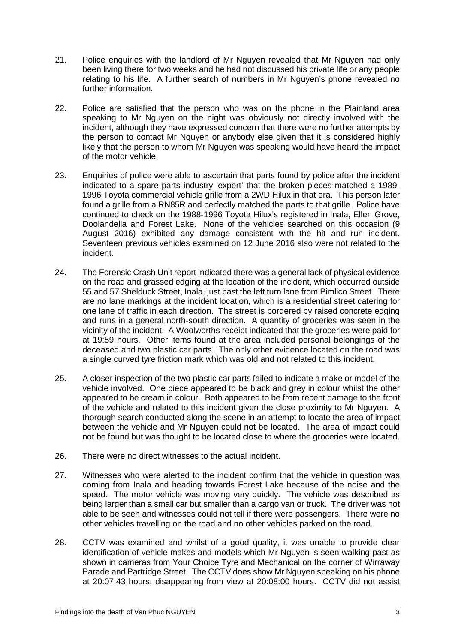- 21. Police enquiries with the landlord of Mr Nguyen revealed that Mr Nguyen had only been living there for two weeks and he had not discussed his private life or any people relating to his life. A further search of numbers in Mr Nguyen's phone revealed no further information.
- 22. Police are satisfied that the person who was on the phone in the Plainland area speaking to Mr Nguyen on the night was obviously not directly involved with the incident, although they have expressed concern that there were no further attempts by the person to contact Mr Nguyen or anybody else given that it is considered highly likely that the person to whom Mr Nguyen was speaking would have heard the impact of the motor vehicle.
- 23. Enquiries of police were able to ascertain that parts found by police after the incident indicated to a spare parts industry 'expert' that the broken pieces matched a 1989- 1996 Toyota commercial vehicle grille from a 2WD Hilux in that era. This person later found a grille from a RN85R and perfectly matched the parts to that grille. Police have continued to check on the 1988-1996 Toyota Hilux's registered in Inala, Ellen Grove, Doolandella and Forest Lake. None of the vehicles searched on this occasion (9 August 2016) exhibited any damage consistent with the hit and run incident. Seventeen previous vehicles examined on 12 June 2016 also were not related to the incident.
- 24. The Forensic Crash Unit report indicated there was a general lack of physical evidence on the road and grassed edging at the location of the incident, which occurred outside 55 and 57 Shelduck Street, Inala, just past the left turn lane from Pimlico Street. There are no lane markings at the incident location, which is a residential street catering for one lane of traffic in each direction. The street is bordered by raised concrete edging and runs in a general north-south direction. A quantity of groceries was seen in the vicinity of the incident. A Woolworths receipt indicated that the groceries were paid for at 19:59 hours. Other items found at the area included personal belongings of the deceased and two plastic car parts. The only other evidence located on the road was a single curved tyre friction mark which was old and not related to this incident.
- 25. A closer inspection of the two plastic car parts failed to indicate a make or model of the vehicle involved. One piece appeared to be black and grey in colour whilst the other appeared to be cream in colour. Both appeared to be from recent damage to the front of the vehicle and related to this incident given the close proximity to Mr Nguyen. A thorough search conducted along the scene in an attempt to locate the area of impact between the vehicle and Mr Nguyen could not be located. The area of impact could not be found but was thought to be located close to where the groceries were located.
- 26. There were no direct witnesses to the actual incident.
- 27. Witnesses who were alerted to the incident confirm that the vehicle in question was coming from Inala and heading towards Forest Lake because of the noise and the speed. The motor vehicle was moving very quickly. The vehicle was described as being larger than a small car but smaller than a cargo van or truck. The driver was not able to be seen and witnesses could not tell if there were passengers. There were no other vehicles travelling on the road and no other vehicles parked on the road.
- 28. CCTV was examined and whilst of a good quality, it was unable to provide clear identification of vehicle makes and models which Mr Nguyen is seen walking past as shown in cameras from Your Choice Tyre and Mechanical on the corner of Wirraway Parade and Partridge Street. The CCTV does show Mr Nguyen speaking on his phone at 20:07:43 hours, disappearing from view at 20:08:00 hours. CCTV did not assist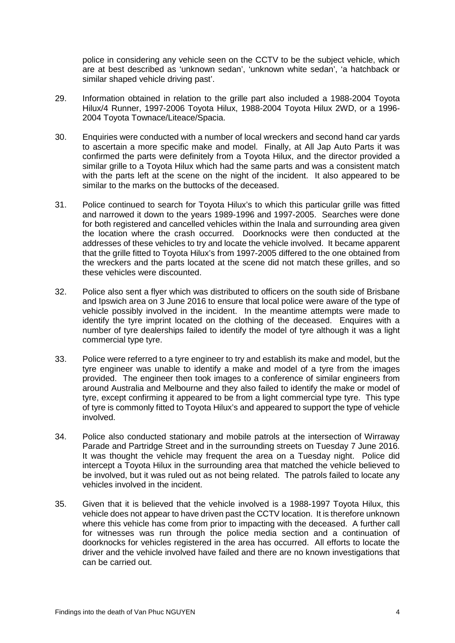police in considering any vehicle seen on the CCTV to be the subject vehicle, which are at best described as 'unknown sedan', 'unknown white sedan', 'a hatchback or similar shaped vehicle driving past'.

- 29. Information obtained in relation to the grille part also included a 1988-2004 Toyota Hilux/4 Runner, 1997-2006 Toyota Hilux, 1988-2004 Toyota Hilux 2WD, or a 1996- 2004 Toyota Townace/Liteace/Spacia.
- 30. Enquiries were conducted with a number of local wreckers and second hand car yards to ascertain a more specific make and model. Finally, at All Jap Auto Parts it was confirmed the parts were definitely from a Toyota Hilux, and the director provided a similar grille to a Toyota Hilux which had the same parts and was a consistent match with the parts left at the scene on the night of the incident. It also appeared to be similar to the marks on the buttocks of the deceased.
- 31. Police continued to search for Toyota Hilux's to which this particular grille was fitted and narrowed it down to the years 1989-1996 and 1997-2005. Searches were done for both registered and cancelled vehicles within the Inala and surrounding area given the location where the crash occurred. Doorknocks were then conducted at the addresses of these vehicles to try and locate the vehicle involved. It became apparent that the grille fitted to Toyota Hilux's from 1997-2005 differed to the one obtained from the wreckers and the parts located at the scene did not match these grilles, and so these vehicles were discounted.
- 32. Police also sent a flyer which was distributed to officers on the south side of Brisbane and Ipswich area on 3 June 2016 to ensure that local police were aware of the type of vehicle possibly involved in the incident. In the meantime attempts were made to identify the tyre imprint located on the clothing of the deceased. Enquires with a number of tyre dealerships failed to identify the model of tyre although it was a light commercial type tyre.
- 33. Police were referred to a tyre engineer to try and establish its make and model, but the tyre engineer was unable to identify a make and model of a tyre from the images provided. The engineer then took images to a conference of similar engineers from around Australia and Melbourne and they also failed to identify the make or model of tyre, except confirming it appeared to be from a light commercial type tyre. This type of tyre is commonly fitted to Toyota Hilux's and appeared to support the type of vehicle involved.
- 34. Police also conducted stationary and mobile patrols at the intersection of Wirraway Parade and Partridge Street and in the surrounding streets on Tuesday 7 June 2016. It was thought the vehicle may frequent the area on a Tuesday night. Police did intercept a Toyota Hilux in the surrounding area that matched the vehicle believed to be involved, but it was ruled out as not being related. The patrols failed to locate any vehicles involved in the incident.
- 35. Given that it is believed that the vehicle involved is a 1988-1997 Toyota Hilux, this vehicle does not appear to have driven past the CCTV location. It is therefore unknown where this vehicle has come from prior to impacting with the deceased. A further call for witnesses was run through the police media section and a continuation of doorknocks for vehicles registered in the area has occurred. All efforts to locate the driver and the vehicle involved have failed and there are no known investigations that can be carried out.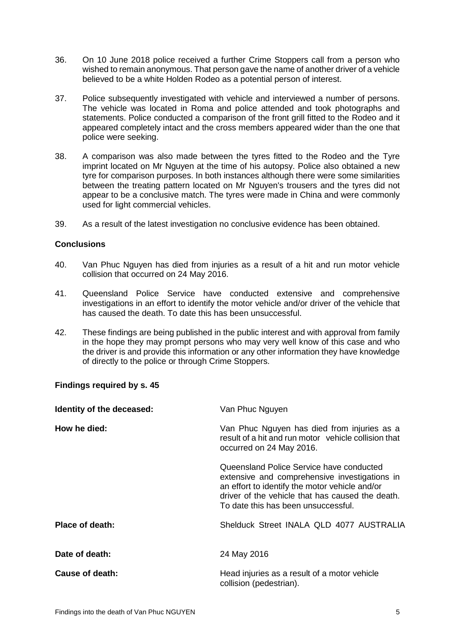- 36. On 10 June 2018 police received a further Crime Stoppers call from a person who wished to remain anonymous. That person gave the name of another driver of a vehicle believed to be a white Holden Rodeo as a potential person of interest.
- 37. Police subsequently investigated with vehicle and interviewed a number of persons. The vehicle was located in Roma and police attended and took photographs and statements. Police conducted a comparison of the front grill fitted to the Rodeo and it appeared completely intact and the cross members appeared wider than the one that police were seeking.
- 38. A comparison was also made between the tyres fitted to the Rodeo and the Tyre imprint located on Mr Nguyen at the time of his autopsy. Police also obtained a new tyre for comparison purposes. In both instances although there were some similarities between the treating pattern located on Mr Nguyen's trousers and the tyres did not appear to be a conclusive match. The tyres were made in China and were commonly used for light commercial vehicles.
- <span id="page-6-0"></span>39. As a result of the latest investigation no conclusive evidence has been obtained.

#### **Conclusions**

- 40. Van Phuc Nguyen has died from injuries as a result of a hit and run motor vehicle collision that occurred on 24 May 2016.
- 41. Queensland Police Service have conducted extensive and comprehensive investigations in an effort to identify the motor vehicle and/or driver of the vehicle that has caused the death. To date this has been unsuccessful.
- 42. These findings are being published in the public interest and with approval from family in the hope they may prompt persons who may very well know of this case and who the driver is and provide this information or any other information they have knowledge of directly to the police or through Crime Stoppers.

### <span id="page-6-1"></span>**Findings required by s. 45**

| Identity of the deceased: | Van Phuc Nguyen                                                                                                                                                                                                                        |
|---------------------------|----------------------------------------------------------------------------------------------------------------------------------------------------------------------------------------------------------------------------------------|
| How he died:              | Van Phuc Nguyen has died from injuries as a<br>result of a hit and run motor vehicle collision that<br>occurred on 24 May 2016.                                                                                                        |
|                           | Queensland Police Service have conducted<br>extensive and comprehensive investigations in<br>an effort to identify the motor vehicle and/or<br>driver of the vehicle that has caused the death.<br>To date this has been unsuccessful. |
| <b>Place of death:</b>    | Shelduck Street INALA QLD 4077 AUSTRALIA                                                                                                                                                                                               |
| Date of death:            | 24 May 2016                                                                                                                                                                                                                            |
| Cause of death:           | Head injuries as a result of a motor vehicle<br>collision (pedestrian).                                                                                                                                                                |